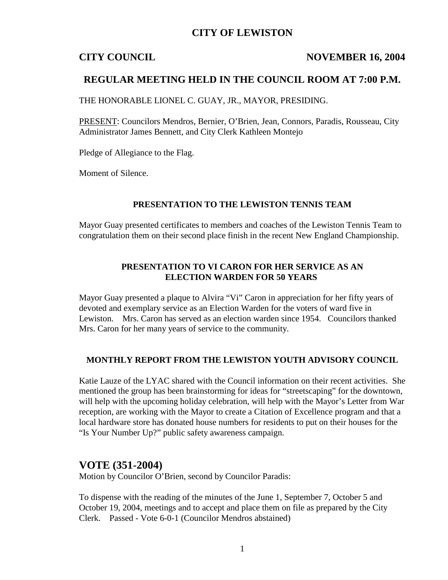## **CITY OF LEWISTON**

## **CITY COUNCIL NOVEMBER 16, 2004**

## **REGULAR MEETING HELD IN THE COUNCIL ROOM AT 7:00 P.M.**

THE HONORABLE LIONEL C. GUAY, JR., MAYOR, PRESIDING.

PRESENT: Councilors Mendros, Bernier, O'Brien, Jean, Connors, Paradis, Rousseau, City Administrator James Bennett, and City Clerk Kathleen Montejo

Pledge of Allegiance to the Flag.

Moment of Silence.

#### **PRESENTATION TO THE LEWISTON TENNIS TEAM**

Mayor Guay presented certificates to members and coaches of the Lewiston Tennis Team to congratulation them on their second place finish in the recent New England Championship.

## **PRESENTATION TO VI CARON FOR HER SERVICE AS AN ELECTION WARDEN FOR 50 YEARS**

Mayor Guay presented a plaque to Alvira "Vi" Caron in appreciation for her fifty years of devoted and exemplary service as an Election Warden for the voters of ward five in Lewiston. Mrs. Caron has served as an election warden since 1954. Councilors thanked Mrs. Caron for her many years of service to the community.

#### **MONTHLY REPORT FROM THE LEWISTON YOUTH ADVISORY COUNCIL**

Katie Lauze of the LYAC shared with the Council information on their recent activities. She mentioned the group has been brainstorming for ideas for "streetscaping" for the downtown, will help with the upcoming holiday celebration, will help with the Mayor's Letter from War reception, are working with the Mayor to create a Citation of Excellence program and that a local hardware store has donated house numbers for residents to put on their houses for the "Is Your Number Up?" public safety awareness campaign.

## **VOTE (351-2004)**

Motion by Councilor O'Brien, second by Councilor Paradis:

To dispense with the reading of the minutes of the June 1, September 7, October 5 and October 19, 2004, meetings and to accept and place them on file as prepared by the City Clerk. Passed - Vote 6-0-1 (Councilor Mendros abstained)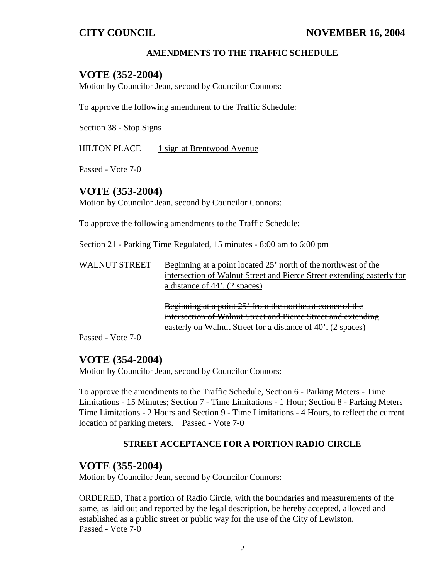## **AMENDMENTS TO THE TRAFFIC SCHEDULE**

## **VOTE (352-2004)**

Motion by Councilor Jean, second by Councilor Connors:

To approve the following amendment to the Traffic Schedule:

Section 38 - Stop Signs

HILTON PLACE  $1$  sign at Brentwood Avenue

Passed - Vote 7-0

## **VOTE (353-2004)**

Motion by Councilor Jean, second by Councilor Connors:

To approve the following amendments to the Traffic Schedule:

Section 21 - Parking Time Regulated, 15 minutes - 8:00 am to 6:00 pm

| <b>WALNUT STREET</b> | Beginning at a point located 25' north of the northwest of the         |
|----------------------|------------------------------------------------------------------------|
|                      | intersection of Walnut Street and Pierce Street extending easterly for |
|                      | a distance of 44'. (2 spaces)                                          |

Beginning at a point 25' from the northeast corner of the intersection of Walnut Street and Pierce Street and extending easterly on Walnut Street for a distance of 40'. (2 spaces)

Passed - Vote 7-0

## **VOTE (354-2004)**

Motion by Councilor Jean, second by Councilor Connors:

To approve the amendments to the Traffic Schedule, Section 6 - Parking Meters - Time Limitations - 15 Minutes; Section 7 - Time Limitations - 1 Hour; Section 8 - Parking Meters Time Limitations - 2 Hours and Section 9 - Time Limitations - 4 Hours, to reflect the current location of parking meters. Passed - Vote 7-0

#### **STREET ACCEPTANCE FOR A PORTION RADIO CIRCLE**

## **VOTE (355-2004)**

Motion by Councilor Jean, second by Councilor Connors:

ORDERED, That a portion of Radio Circle, with the boundaries and measurements of the same, as laid out and reported by the legal description, be hereby accepted, allowed and established as a public street or public way for the use of the City of Lewiston. Passed - Vote 7-0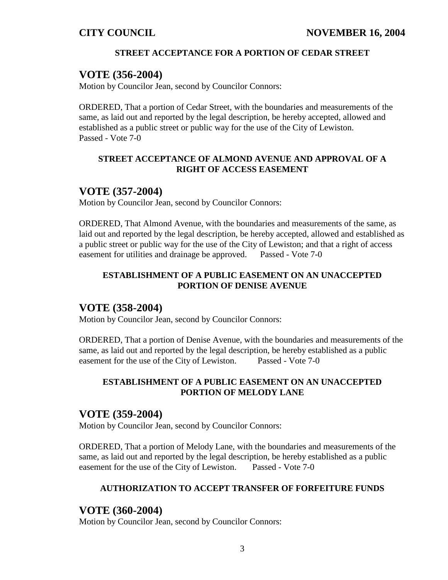## **STREET ACCEPTANCE FOR A PORTION OF CEDAR STREET**

# **VOTE (356-2004)**

Motion by Councilor Jean, second by Councilor Connors:

ORDERED, That a portion of Cedar Street, with the boundaries and measurements of the same, as laid out and reported by the legal description, be hereby accepted, allowed and established as a public street or public way for the use of the City of Lewiston. Passed - Vote 7-0

## **STREET ACCEPTANCE OF ALMOND AVENUE AND APPROVAL OF A RIGHT OF ACCESS EASEMENT**

## **VOTE (357-2004)**

Motion by Councilor Jean, second by Councilor Connors:

ORDERED, That Almond Avenue, with the boundaries and measurements of the same, as laid out and reported by the legal description, be hereby accepted, allowed and established as a public street or public way for the use of the City of Lewiston; and that a right of access easement for utilities and drainage be approved. Passed - Vote 7-0

## **ESTABLISHMENT OF A PUBLIC EASEMENT ON AN UNACCEPTED PORTION OF DENISE AVENUE**

## **VOTE (358-2004)**

Motion by Councilor Jean, second by Councilor Connors:

ORDERED, That a portion of Denise Avenue, with the boundaries and measurements of the same, as laid out and reported by the legal description, be hereby established as a public easement for the use of the City of Lewiston. Passed - Vote 7-0

## **ESTABLISHMENT OF A PUBLIC EASEMENT ON AN UNACCEPTED PORTION OF MELODY LANE**

## **VOTE (359-2004)**

Motion by Councilor Jean, second by Councilor Connors:

ORDERED, That a portion of Melody Lane, with the boundaries and measurements of the same, as laid out and reported by the legal description, be hereby established as a public easement for the use of the City of Lewiston. Passed - Vote 7-0

## **AUTHORIZATION TO ACCEPT TRANSFER OF FORFEITURE FUNDS**

## **VOTE (360-2004)**

Motion by Councilor Jean, second by Councilor Connors: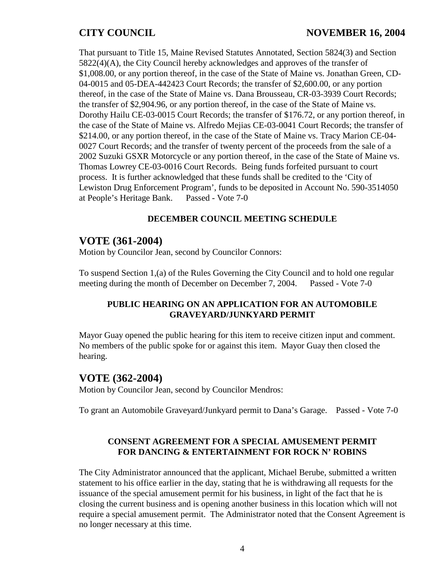## **CITY COUNCIL NOVEMBER 16, 2004**

That pursuant to Title 15, Maine Revised Statutes Annotated, Section 5824(3) and Section 5822(4)(A), the City Council hereby acknowledges and approves of the transfer of \$1,008.00, or any portion thereof, in the case of the State of Maine vs. Jonathan Green, CD-04-0015 and 05-DEA-442423 Court Records; the transfer of \$2,600.00, or any portion thereof, in the case of the State of Maine vs. Dana Brousseau, CR-03-3939 Court Records; the transfer of \$2,904.96, or any portion thereof, in the case of the State of Maine vs. Dorothy Hailu CE-03-0015 Court Records; the transfer of \$176.72, or any portion thereof, in the case of the State of Maine vs. Alfredo Mejias CE-03-0041 Court Records; the transfer of \$214.00, or any portion thereof, in the case of the State of Maine vs. Tracy Marion CE-04- 0027 Court Records; and the transfer of twenty percent of the proceeds from the sale of a 2002 Suzuki GSXR Motorcycle or any portion thereof, in the case of the State of Maine vs. Thomas Lowrey CE-03-0016 Court Records. Being funds forfeited pursuant to court process. It is further acknowledged that these funds shall be credited to the 'City of Lewiston Drug Enforcement Program', funds to be deposited in Account No. 590-3514050 at People's Heritage Bank. Passed - Vote 7-0

## **DECEMBER COUNCIL MEETING SCHEDULE**

## **VOTE (361-2004)**

Motion by Councilor Jean, second by Councilor Connors:

To suspend Section 1,(a) of the Rules Governing the City Council and to hold one regular meeting during the month of December on December 7, 2004. Passed - Vote 7-0

#### **PUBLIC HEARING ON AN APPLICATION FOR AN AUTOMOBILE GRAVEYARD/JUNKYARD PERMIT**

Mayor Guay opened the public hearing for this item to receive citizen input and comment. No members of the public spoke for or against this item. Mayor Guay then closed the hearing.

## **VOTE (362-2004)**

Motion by Councilor Jean, second by Councilor Mendros:

To grant an Automobile Graveyard/Junkyard permit to Dana's Garage. Passed - Vote 7-0

## **CONSENT AGREEMENT FOR A SPECIAL AMUSEMENT PERMIT FOR DANCING & ENTERTAINMENT FOR ROCK N' ROBINS**

The City Administrator announced that the applicant, Michael Berube, submitted a written statement to his office earlier in the day, stating that he is withdrawing all requests for the issuance of the special amusement permit for his business, in light of the fact that he is closing the current business and is opening another business in this location which will not require a special amusement permit. The Administrator noted that the Consent Agreement is no longer necessary at this time.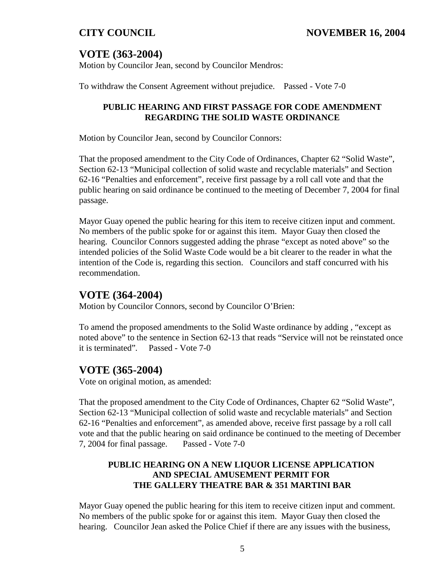# **VOTE (363-2004)**

Motion by Councilor Jean, second by Councilor Mendros:

To withdraw the Consent Agreement without prejudice. Passed - Vote 7-0

## **PUBLIC HEARING AND FIRST PASSAGE FOR CODE AMENDMENT REGARDING THE SOLID WASTE ORDINANCE**

Motion by Councilor Jean, second by Councilor Connors:

That the proposed amendment to the City Code of Ordinances, Chapter 62 "Solid Waste", Section 62-13 "Municipal collection of solid waste and recyclable materials" and Section 62-16 "Penalties and enforcement", receive first passage by a roll call vote and that the public hearing on said ordinance be continued to the meeting of December 7, 2004 for final passage.

Mayor Guay opened the public hearing for this item to receive citizen input and comment. No members of the public spoke for or against this item. Mayor Guay then closed the hearing. Councilor Connors suggested adding the phrase "except as noted above" so the intended policies of the Solid Waste Code would be a bit clearer to the reader in what the intention of the Code is, regarding this section. Councilors and staff concurred with his recommendation.

# **VOTE (364-2004)**

Motion by Councilor Connors, second by Councilor O'Brien:

To amend the proposed amendments to the Solid Waste ordinance by adding *,* "except as noted above" to the sentence in Section 62-13 that reads "Service will not be reinstated once it is terminated"*.* Passed - Vote 7-0

# **VOTE (365-2004)**

Vote on original motion, as amended:

That the proposed amendment to the City Code of Ordinances, Chapter 62 "Solid Waste", Section 62-13 "Municipal collection of solid waste and recyclable materials" and Section 62-16 "Penalties and enforcement", as amended above, receive first passage by a roll call vote and that the public hearing on said ordinance be continued to the meeting of December 7, 2004 for final passage. Passed - Vote 7-0

## **PUBLIC HEARING ON A NEW LIQUOR LICENSE APPLICATION AND SPECIAL AMUSEMENT PERMIT FOR THE GALLERY THEATRE BAR & 351 MARTINI BAR**

Mayor Guay opened the public hearing for this item to receive citizen input and comment. No members of the public spoke for or against this item. Mayor Guay then closed the hearing. Councilor Jean asked the Police Chief if there are any issues with the business,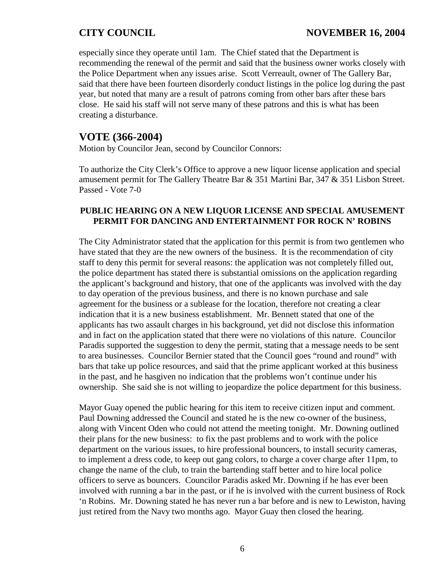especially since they operate until 1am. The Chief stated that the Department is recommending the renewal of the permit and said that the business owner works closely with the Police Department when any issues arise. Scott Verreault, owner of The Gallery Bar, said that there have been fourteen disorderly conduct listings in the police log during the past year, but noted that many are a result of patrons coming from other bars after these bars close. He said his staff will not serve many of these patrons and this is what has been creating a disturbance.

# **VOTE (366-2004)**

Motion by Councilor Jean, second by Councilor Connors:

To authorize the City Clerk's Office to approve a new liquor license application and special amusement permit for The Gallery Theatre Bar & 351 Martini Bar, 347 & 351 Lisbon Street. Passed - Vote 7-0

### **PUBLIC HEARING ON A NEW LIQUOR LICENSE AND SPECIAL AMUSEMENT PERMIT FOR DANCING AND ENTERTAINMENT FOR ROCK N' ROBINS**

The City Administrator stated that the application for this permit is from two gentlemen who have stated that they are the new owners of the business. It is the recommendation of city staff to deny this permit for several reasons: the application was not completely filled out, the police department has stated there is substantial omissions on the application regarding the applicant's background and history, that one of the applicants was involved with the day to day operation of the previous business, and there is no known purchase and sale agreement for the business or a sublease for the location, therefore not creating a clear indication that it is a new business establishment. Mr. Bennett stated that one of the applicants has two assault charges in his background, yet did not disclose this information and in fact on the application stated that there were no violations of this nature. Councilor Paradis supported the suggestion to deny the permit, stating that a message needs to be sent to area businesses. Councilor Bernier stated that the Council goes "round and round" with bars that take up police resources, and said that the prime applicant worked at this business in the past, and he hasgiven no indication that the problems won't continue under his ownership. She said she is not willing to jeopardize the police department for this business.

Mayor Guay opened the public hearing for this item to receive citizen input and comment. Paul Downing addressed the Council and stated he is the new co-owner of the business, along with Vincent Oden who could not attend the meeting tonight. Mr. Downing outlined their plans for the new business: to fix the past problems and to work with the police department on the various issues, to hire professional bouncers, to install security cameras, to implement a dress code, to keep out gang colors, to charge a cover charge after 11pm, to change the name of the club, to train the bartending staff better and to hire local police officers to serve as bouncers. Councilor Paradis asked Mr. Downing if he has ever been involved with running a bar in the past, or if he is involved with the current business of Rock 'n Robins. Mr. Downing stated he has never run a bar before and is new to Lewiston, having just retired from the Navy two months ago. Mayor Guay then closed the hearing.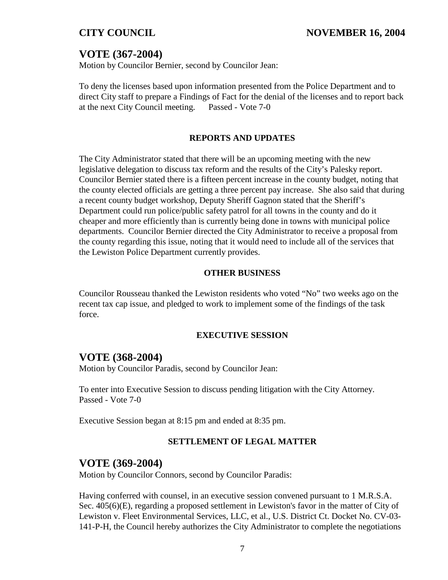# **VOTE (367-2004)**

Motion by Councilor Bernier, second by Councilor Jean:

To deny the licenses based upon information presented from the Police Department and to direct City staff to prepare a Findings of Fact for the denial of the licenses and to report back at the next City Council meeting. Passed - Vote 7-0

#### **REPORTS AND UPDATES**

The City Administrator stated that there will be an upcoming meeting with the new legislative delegation to discuss tax reform and the results of the City's Palesky report. Councilor Bernier stated there is a fifteen percent increase in the county budget, noting that the county elected officials are getting a three percent pay increase. She also said that during a recent county budget workshop, Deputy Sheriff Gagnon stated that the Sheriff's Department could run police/public safety patrol for all towns in the county and do it cheaper and more efficiently than is currently being done in towns with municipal police departments. Councilor Bernier directed the City Administrator to receive a proposal from the county regarding this issue, noting that it would need to include all of the services that the Lewiston Police Department currently provides.

#### **OTHER BUSINESS**

Councilor Rousseau thanked the Lewiston residents who voted "No" two weeks ago on the recent tax cap issue, and pledged to work to implement some of the findings of the task force.

#### **EXECUTIVE SESSION**

## **VOTE (368-2004)**

Motion by Councilor Paradis, second by Councilor Jean:

To enter into Executive Session to discuss pending litigation with the City Attorney. Passed - Vote 7-0

Executive Session began at 8:15 pm and ended at 8:35 pm.

## **SETTLEMENT OF LEGAL MATTER**

## **VOTE (369-2004)**

Motion by Councilor Connors, second by Councilor Paradis:

Having conferred with counsel, in an executive session convened pursuant to 1 M.R.S.A. Sec. 405(6)(E), regarding a proposed settlement in Lewiston's favor in the matter of City of Lewiston v. Fleet Environmental Services, LLC, et al., U.S. District Ct. Docket No. CV-03- 141-P-H, the Council hereby authorizes the City Administrator to complete the negotiations